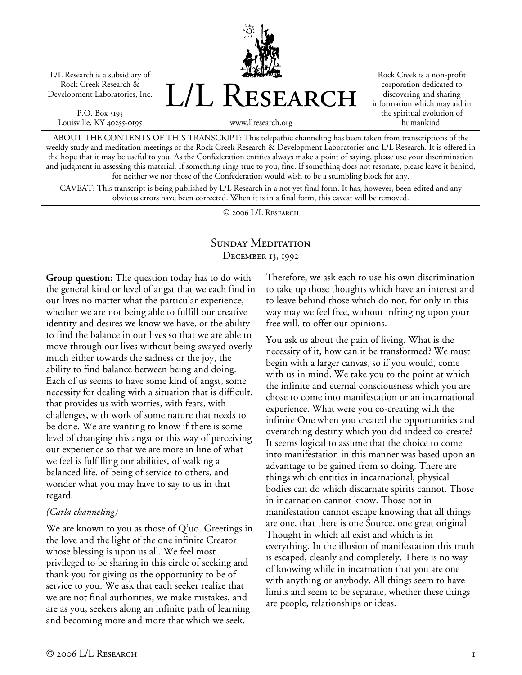L/L Research is a subsidiary of Rock Creek Research & Development Laboratories, Inc.

P.O. Box 5195 Louisville, KY 40255-0195 L/L Research

Rock Creek is a non-profit corporation dedicated to discovering and sharing information which may aid in the spiritual evolution of humankind.

www.llresearch.org

ABOUT THE CONTENTS OF THIS TRANSCRIPT: This telepathic channeling has been taken from transcriptions of the weekly study and meditation meetings of the Rock Creek Research & Development Laboratories and L/L Research. It is offered in the hope that it may be useful to you. As the Confederation entities always make a point of saying, please use your discrimination and judgment in assessing this material. If something rings true to you, fine. If something does not resonate, please leave it behind, for neither we nor those of the Confederation would wish to be a stumbling block for any.

CAVEAT: This transcript is being published by L/L Research in a not yet final form. It has, however, been edited and any obvious errors have been corrected. When it is in a final form, this caveat will be removed.

© 2006 L/L Research

## SUNDAY MEDITATION December 13, 1992

**Group question:** The question today has to do with the general kind or level of angst that we each find in our lives no matter what the particular experience, whether we are not being able to fulfill our creative identity and desires we know we have, or the ability to find the balance in our lives so that we are able to move through our lives without being swayed overly much either towards the sadness or the joy, the ability to find balance between being and doing. Each of us seems to have some kind of angst, some necessity for dealing with a situation that is difficult, that provides us with worries, with fears, with challenges, with work of some nature that needs to be done. We are wanting to know if there is some level of changing this angst or this way of perceiving our experience so that we are more in line of what we feel is fulfilling our abilities, of walking a balanced life, of being of service to others, and wonder what you may have to say to us in that regard.

## *(Carla channeling)*

We are known to you as those of Q'uo. Greetings in the love and the light of the one infinite Creator whose blessing is upon us all. We feel most privileged to be sharing in this circle of seeking and thank you for giving us the opportunity to be of service to you. We ask that each seeker realize that we are not final authorities, we make mistakes, and are as you, seekers along an infinite path of learning and becoming more and more that which we seek.

Therefore, we ask each to use his own discrimination to take up those thoughts which have an interest and to leave behind those which do not, for only in this way may we feel free, without infringing upon your free will, to offer our opinions.

You ask us about the pain of living. What is the necessity of it, how can it be transformed? We must begin with a larger canvas, so if you would, come with us in mind. We take you to the point at which the infinite and eternal consciousness which you are chose to come into manifestation or an incarnational experience. What were you co-creating with the infinite One when you created the opportunities and overarching destiny which you did indeed co-create? It seems logical to assume that the choice to come into manifestation in this manner was based upon an advantage to be gained from so doing. There are things which entities in incarnational, physical bodies can do which discarnate spirits cannot. Those in incarnation cannot know. Those not in manifestation cannot escape knowing that all things are one, that there is one Source, one great original Thought in which all exist and which is in everything. In the illusion of manifestation this truth is escaped, cleanly and completely. There is no way of knowing while in incarnation that you are one with anything or anybody. All things seem to have limits and seem to be separate, whether these things are people, relationships or ideas.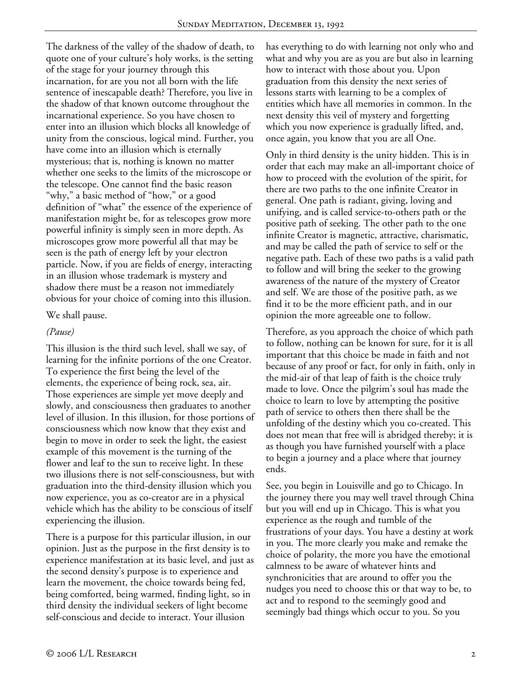The darkness of the valley of the shadow of death, to quote one of your culture's holy works, is the setting of the stage for your journey through this incarnation, for are you not all born with the life sentence of inescapable death? Therefore, you live in the shadow of that known outcome throughout the incarnational experience. So you have chosen to enter into an illusion which blocks all knowledge of unity from the conscious, logical mind. Further, you have come into an illusion which is eternally mysterious; that is, nothing is known no matter whether one seeks to the limits of the microscope or the telescope. One cannot find the basic reason "why," a basic method of "how," or a good definition of "what" the essence of the experience of manifestation might be, for as telescopes grow more powerful infinity is simply seen in more depth. As microscopes grow more powerful all that may be seen is the path of energy left by your electron particle. Now, if you are fields of energy, interacting in an illusion whose trademark is mystery and shadow there must be a reason not immediately obvious for your choice of coming into this illusion.

We shall pause.

## *(Pause)*

This illusion is the third such level, shall we say, of learning for the infinite portions of the one Creator. To experience the first being the level of the elements, the experience of being rock, sea, air. Those experiences are simple yet move deeply and slowly, and consciousness then graduates to another level of illusion. In this illusion, for those portions of consciousness which now know that they exist and begin to move in order to seek the light, the easiest example of this movement is the turning of the flower and leaf to the sun to receive light. In these two illusions there is not self-consciousness, but with graduation into the third-density illusion which you now experience, you as co-creator are in a physical vehicle which has the ability to be conscious of itself experiencing the illusion.

There is a purpose for this particular illusion, in our opinion. Just as the purpose in the first density is to experience manifestation at its basic level, and just as the second density's purpose is to experience and learn the movement, the choice towards being fed, being comforted, being warmed, finding light, so in third density the individual seekers of light become self-conscious and decide to interact. Your illusion

has everything to do with learning not only who and what and why you are as you are but also in learning how to interact with those about you. Upon graduation from this density the next series of lessons starts with learning to be a complex of entities which have all memories in common. In the next density this veil of mystery and forgetting which you now experience is gradually lifted, and, once again, you know that you are all One.

Only in third density is the unity hidden. This is in order that each may make an all-important choice of how to proceed with the evolution of the spirit, for there are two paths to the one infinite Creator in general. One path is radiant, giving, loving and unifying, and is called service-to-others path or the positive path of seeking. The other path to the one infinite Creator is magnetic, attractive, charismatic, and may be called the path of service to self or the negative path. Each of these two paths is a valid path to follow and will bring the seeker to the growing awareness of the nature of the mystery of Creator and self. We are those of the positive path, as we find it to be the more efficient path, and in our opinion the more agreeable one to follow.

Therefore, as you approach the choice of which path to follow, nothing can be known for sure, for it is all important that this choice be made in faith and not because of any proof or fact, for only in faith, only in the mid-air of that leap of faith is the choice truly made to love. Once the pilgrim's soul has made the choice to learn to love by attempting the positive path of service to others then there shall be the unfolding of the destiny which you co-created. This does not mean that free will is abridged thereby; it is as though you have furnished yourself with a place to begin a journey and a place where that journey ends.

See, you begin in Louisville and go to Chicago. In the journey there you may well travel through China but you will end up in Chicago. This is what you experience as the rough and tumble of the frustrations of your days. You have a destiny at work in you. The more clearly you make and remake the choice of polarity, the more you have the emotional calmness to be aware of whatever hints and synchronicities that are around to offer you the nudges you need to choose this or that way to be, to act and to respond to the seemingly good and seemingly bad things which occur to you. So you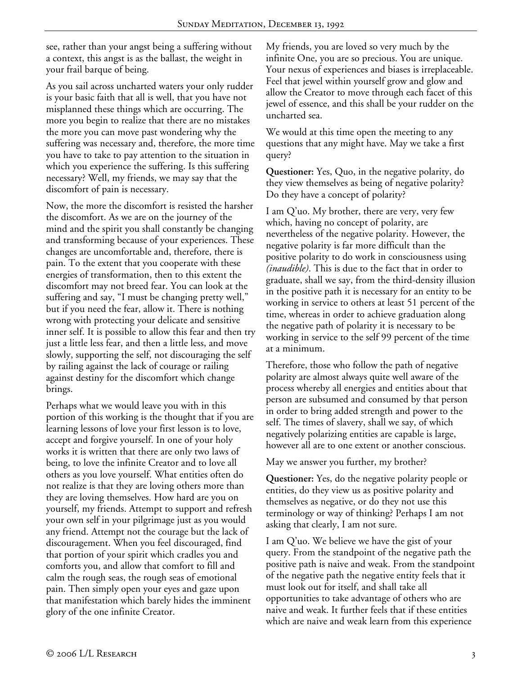see, rather than your angst being a suffering without a context, this angst is as the ballast, the weight in your frail barque of being.

As you sail across uncharted waters your only rudder is your basic faith that all is well, that you have not misplanned these things which are occurring. The more you begin to realize that there are no mistakes the more you can move past wondering why the suffering was necessary and, therefore, the more time you have to take to pay attention to the situation in which you experience the suffering. Is this suffering necessary? Well, my friends, we may say that the discomfort of pain is necessary.

Now, the more the discomfort is resisted the harsher the discomfort. As we are on the journey of the mind and the spirit you shall constantly be changing and transforming because of your experiences. These changes are uncomfortable and, therefore, there is pain. To the extent that you cooperate with these energies of transformation, then to this extent the discomfort may not breed fear. You can look at the suffering and say, "I must be changing pretty well," but if you need the fear, allow it. There is nothing wrong with protecting your delicate and sensitive inner self. It is possible to allow this fear and then try just a little less fear, and then a little less, and move slowly, supporting the self, not discouraging the self by railing against the lack of courage or railing against destiny for the discomfort which change brings.

Perhaps what we would leave you with in this portion of this working is the thought that if you are learning lessons of love your first lesson is to love, accept and forgive yourself. In one of your holy works it is written that there are only two laws of being, to love the infinite Creator and to love all others as you love yourself. What entities often do not realize is that they are loving others more than they are loving themselves. How hard are you on yourself, my friends. Attempt to support and refresh your own self in your pilgrimage just as you would any friend. Attempt not the courage but the lack of discouragement. When you feel discouraged, find that portion of your spirit which cradles you and comforts you, and allow that comfort to fill and calm the rough seas, the rough seas of emotional pain. Then simply open your eyes and gaze upon that manifestation which barely hides the imminent glory of the one infinite Creator.

My friends, you are loved so very much by the infinite One, you are so precious. You are unique. Your nexus of experiences and biases is irreplaceable. Feel that jewel within yourself grow and glow and allow the Creator to move through each facet of this jewel of essence, and this shall be your rudder on the uncharted sea.

We would at this time open the meeting to any questions that any might have. May we take a first query?

**Questioner:** Yes, Quo, in the negative polarity, do they view themselves as being of negative polarity? Do they have a concept of polarity?

I am Q'uo. My brother, there are very, very few which, having no concept of polarity, are nevertheless of the negative polarity. However, the negative polarity is far more difficult than the positive polarity to do work in consciousness using *(inaudible)*. This is due to the fact that in order to graduate, shall we say, from the third-density illusion in the positive path it is necessary for an entity to be working in service to others at least 51 percent of the time, whereas in order to achieve graduation along the negative path of polarity it is necessary to be working in service to the self 99 percent of the time at a minimum.

Therefore, those who follow the path of negative polarity are almost always quite well aware of the process whereby all energies and entities about that person are subsumed and consumed by that person in order to bring added strength and power to the self. The times of slavery, shall we say, of which negatively polarizing entities are capable is large, however all are to one extent or another conscious.

May we answer you further, my brother?

**Questioner:** Yes, do the negative polarity people or entities, do they view us as positive polarity and themselves as negative, or do they not use this terminology or way of thinking? Perhaps I am not asking that clearly, I am not sure.

I am Q'uo. We believe we have the gist of your query. From the standpoint of the negative path the positive path is naive and weak. From the standpoint of the negative path the negative entity feels that it must look out for itself, and shall take all opportunities to take advantage of others who are naive and weak. It further feels that if these entities which are naive and weak learn from this experience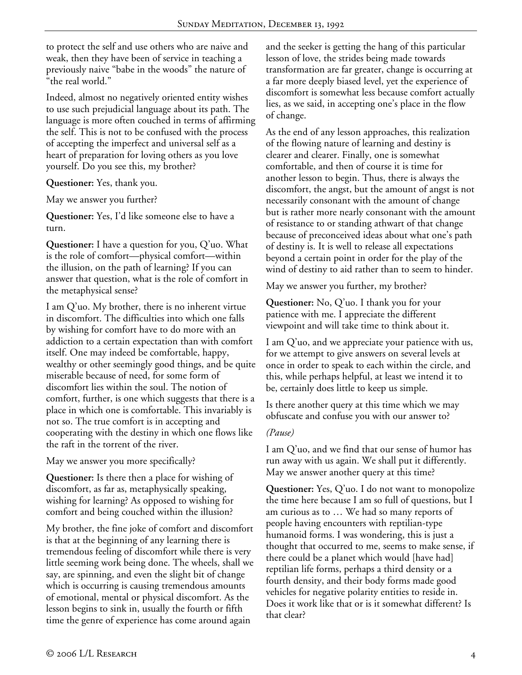to protect the self and use others who are naive and weak, then they have been of service in teaching a previously naive "babe in the woods" the nature of "the real world."

Indeed, almost no negatively oriented entity wishes to use such prejudicial language about its path. The language is more often couched in terms of affirming the self. This is not to be confused with the process of accepting the imperfect and universal self as a heart of preparation for loving others as you love yourself. Do you see this, my brother?

**Questioner:** Yes, thank you.

May we answer you further?

**Questioner:** Yes, I'd like someone else to have a turn.

**Questioner:** I have a question for you, Q'uo. What is the role of comfort—physical comfort—within the illusion, on the path of learning? If you can answer that question, what is the role of comfort in the metaphysical sense?

I am Q'uo. My brother, there is no inherent virtue in discomfort. The difficulties into which one falls by wishing for comfort have to do more with an addiction to a certain expectation than with comfort itself. One may indeed be comfortable, happy, wealthy or other seemingly good things, and be quite miserable because of need, for some form of discomfort lies within the soul. The notion of comfort, further, is one which suggests that there is a place in which one is comfortable. This invariably is not so. The true comfort is in accepting and cooperating with the destiny in which one flows like the raft in the torrent of the river.

May we answer you more specifically?

**Questioner:** Is there then a place for wishing of discomfort, as far as, metaphysically speaking, wishing for learning? As opposed to wishing for comfort and being couched within the illusion?

My brother, the fine joke of comfort and discomfort is that at the beginning of any learning there is tremendous feeling of discomfort while there is very little seeming work being done. The wheels, shall we say, are spinning, and even the slight bit of change which is occurring is causing tremendous amounts of emotional, mental or physical discomfort. As the lesson begins to sink in, usually the fourth or fifth time the genre of experience has come around again

and the seeker is getting the hang of this particular lesson of love, the strides being made towards transformation are far greater, change is occurring at a far more deeply biased level, yet the experience of discomfort is somewhat less because comfort actually lies, as we said, in accepting one's place in the flow of change.

As the end of any lesson approaches, this realization of the flowing nature of learning and destiny is clearer and clearer. Finally, one is somewhat comfortable, and then of course it is time for another lesson to begin. Thus, there is always the discomfort, the angst, but the amount of angst is not necessarily consonant with the amount of change but is rather more nearly consonant with the amount of resistance to or standing athwart of that change because of preconceived ideas about what one's path of destiny is. It is well to release all expectations beyond a certain point in order for the play of the wind of destiny to aid rather than to seem to hinder.

May we answer you further, my brother?

**Questioner:** No, Q'uo. I thank you for your patience with me. I appreciate the different viewpoint and will take time to think about it.

I am Q'uo, and we appreciate your patience with us, for we attempt to give answers on several levels at once in order to speak to each within the circle, and this, while perhaps helpful, at least we intend it to be, certainly does little to keep us simple.

Is there another query at this time which we may obfuscate and confuse you with our answer to?

## *(Pause)*

I am Q'uo, and we find that our sense of humor has run away with us again. We shall put it differently. May we answer another query at this time?

**Questioner:** Yes, Q'uo. I do not want to monopolize the time here because I am so full of questions, but I am curious as to … We had so many reports of people having encounters with reptilian-type humanoid forms. I was wondering, this is just a thought that occurred to me, seems to make sense, if there could be a planet which would [have had] reptilian life forms, perhaps a third density or a fourth density, and their body forms made good vehicles for negative polarity entities to reside in. Does it work like that or is it somewhat different? Is that clear?